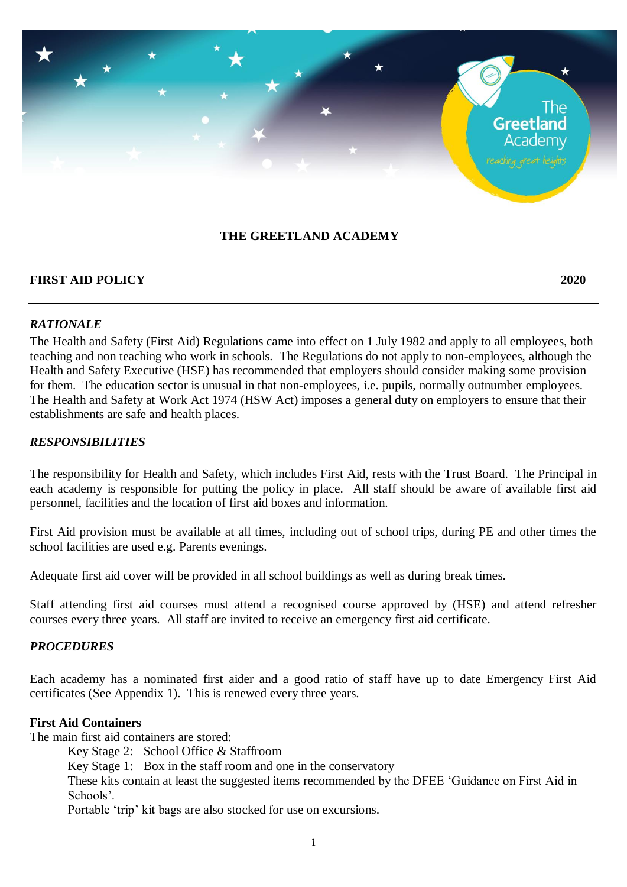# The **Greetland** Academv

# **THE GREETLAND ACADEMY**

#### **FIRST AID POLICY 2020**

#### *RATIONALE*

The Health and Safety (First Aid) Regulations came into effect on 1 July 1982 and apply to all employees, both teaching and non teaching who work in schools. The Regulations do not apply to non-employees, although the Health and Safety Executive (HSE) has recommended that employers should consider making some provision for them. The education sector is unusual in that non-employees, i.e. pupils, normally outnumber employees. The Health and Safety at Work Act 1974 (HSW Act) imposes a general duty on employers to ensure that their establishments are safe and health places.

#### *RESPONSIBILITIES*

The responsibility for Health and Safety, which includes First Aid, rests with the Trust Board. The Principal in each academy is responsible for putting the policy in place. All staff should be aware of available first aid personnel, facilities and the location of first aid boxes and information.

First Aid provision must be available at all times, including out of school trips, during PE and other times the school facilities are used e.g. Parents evenings.

Adequate first aid cover will be provided in all school buildings as well as during break times.

Staff attending first aid courses must attend a recognised course approved by (HSE) and attend refresher courses every three years. All staff are invited to receive an emergency first aid certificate.

#### *PROCEDURES*

Each academy has a nominated first aider and a good ratio of staff have up to date Emergency First Aid certificates (See Appendix 1). This is renewed every three years.

#### **First Aid Containers**

The main first aid containers are stored:

Key Stage 2: School Office & Staffroom

Key Stage 1: Box in the staff room and one in the conservatory

These kits contain at least the suggested items recommended by the DFEE 'Guidance on First Aid in Schools'.

Portable 'trip' kit bags are also stocked for use on excursions.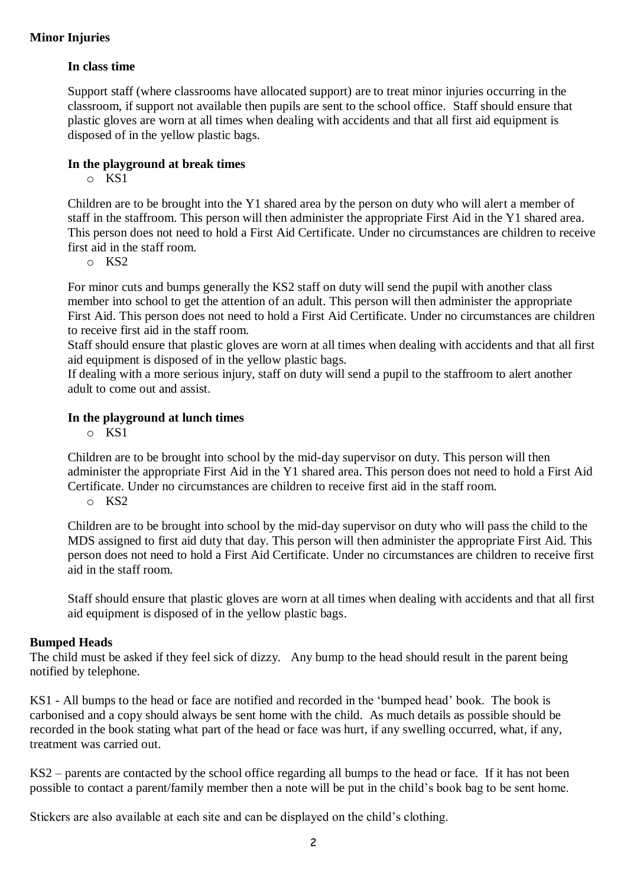# **In class time**

Support staff (where classrooms have allocated support) are to treat minor injuries occurring in the classroom, if support not available then pupils are sent to the school office. Staff should ensure that plastic gloves are worn at all times when dealing with accidents and that all first aid equipment is disposed of in the yellow plastic bags.

# **In the playground at break times**

o KS1

Children are to be brought into the Y1 shared area by the person on duty who will alert a member of staff in the staffroom. This person will then administer the appropriate First Aid in the Y1 shared area. This person does not need to hold a First Aid Certificate. Under no circumstances are children to receive first aid in the staff room.

o KS2

For minor cuts and bumps generally the KS2 staff on duty will send the pupil with another class member into school to get the attention of an adult. This person will then administer the appropriate First Aid. This person does not need to hold a First Aid Certificate. Under no circumstances are children to receive first aid in the staff room.

Staff should ensure that plastic gloves are worn at all times when dealing with accidents and that all first aid equipment is disposed of in the yellow plastic bags.

If dealing with a more serious injury, staff on duty will send a pupil to the staffroom to alert another adult to come out and assist.

#### **In the playground at lunch times**

o KS1

Children are to be brought into school by the mid-day supervisor on duty. This person will then administer the appropriate First Aid in the Y1 shared area. This person does not need to hold a First Aid Certificate. Under no circumstances are children to receive first aid in the staff room.

o KS2

Children are to be brought into school by the mid-day supervisor on duty who will pass the child to the MDS assigned to first aid duty that day. This person will then administer the appropriate First Aid. This person does not need to hold a First Aid Certificate. Under no circumstances are children to receive first aid in the staff room.

Staff should ensure that plastic gloves are worn at all times when dealing with accidents and that all first aid equipment is disposed of in the yellow plastic bags.

#### **Bumped Heads**

The child must be asked if they feel sick of dizzy. Any bump to the head should result in the parent being notified by telephone.

KS1 - All bumps to the head or face are notified and recorded in the 'bumped head' book. The book is carbonised and a copy should always be sent home with the child. As much details as possible should be recorded in the book stating what part of the head or face was hurt, if any swelling occurred, what, if any, treatment was carried out.

KS2 – parents are contacted by the school office regarding all bumps to the head or face. If it has not been possible to contact a parent/family member then a note will be put in the child's book bag to be sent home.

Stickers are also available at each site and can be displayed on the child's clothing.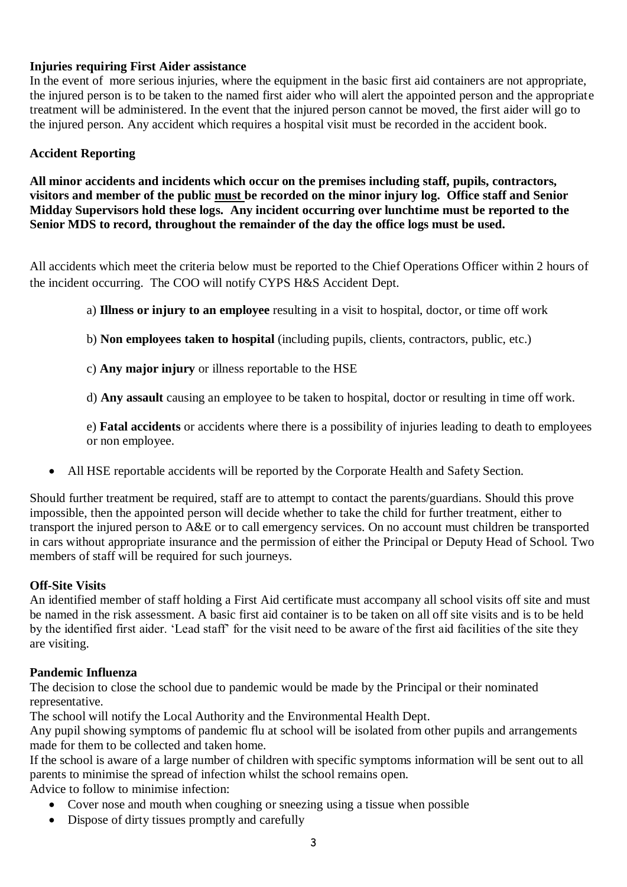# **Injuries requiring First Aider assistance**

In the event of more serious injuries, where the equipment in the basic first aid containers are not appropriate, the injured person is to be taken to the named first aider who will alert the appointed person and the appropriate treatment will be administered. In the event that the injured person cannot be moved, the first aider will go to the injured person. Any accident which requires a hospital visit must be recorded in the accident book.

# **Accident Reporting**

**All minor accidents and incidents which occur on the premises including staff, pupils, contractors, visitors and member of the public must be recorded on the minor injury log. Office staff and Senior Midday Supervisors hold these logs. Any incident occurring over lunchtime must be reported to the Senior MDS to record, throughout the remainder of the day the office logs must be used.**

All accidents which meet the criteria below must be reported to the Chief Operations Officer within 2 hours of the incident occurring. The COO will notify CYPS H&S Accident Dept.

- a) **Illness or injury to an employee** resulting in a visit to hospital, doctor, or time off work
- b) **Non employees taken to hospital** (including pupils, clients, contractors, public, etc.)
- c) **Any major injury** or illness reportable to the HSE
- d) **Any assault** causing an employee to be taken to hospital, doctor or resulting in time off work.

e) **Fatal accidents** or accidents where there is a possibility of injuries leading to death to employees or non employee.

All HSE reportable accidents will be reported by the Corporate Health and Safety Section.

Should further treatment be required, staff are to attempt to contact the parents/guardians. Should this prove impossible, then the appointed person will decide whether to take the child for further treatment, either to transport the injured person to A&E or to call emergency services. On no account must children be transported in cars without appropriate insurance and the permission of either the Principal or Deputy Head of School. Two members of staff will be required for such journeys.

#### **Off-Site Visits**

An identified member of staff holding a First Aid certificate must accompany all school visits off site and must be named in the risk assessment. A basic first aid container is to be taken on all off site visits and is to be held by the identified first aider. 'Lead staff' for the visit need to be aware of the first aid facilities of the site they are visiting.

#### **Pandemic Influenza**

The decision to close the school due to pandemic would be made by the Principal or their nominated representative.

The school will notify the Local Authority and the Environmental Health Dept.

Any pupil showing symptoms of pandemic flu at school will be isolated from other pupils and arrangements made for them to be collected and taken home.

If the school is aware of a large number of children with specific symptoms information will be sent out to all parents to minimise the spread of infection whilst the school remains open.

Advice to follow to minimise infection:

- Cover nose and mouth when coughing or sneezing using a tissue when possible
- Dispose of dirty tissues promptly and carefully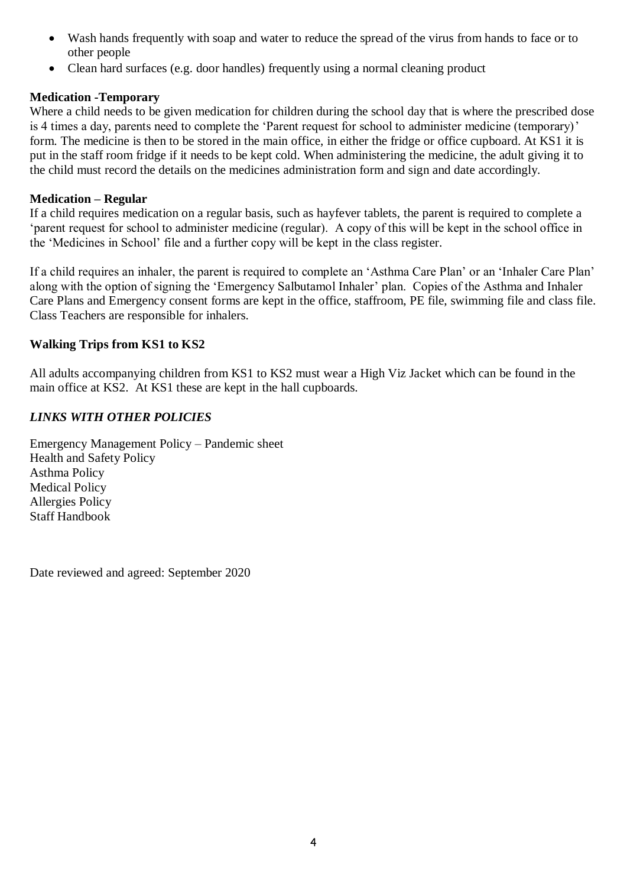- Wash hands frequently with soap and water to reduce the spread of the virus from hands to face or to other people
- Clean hard surfaces (e.g. door handles) frequently using a normal cleaning product

#### **Medication -Temporary**

Where a child needs to be given medication for children during the school day that is where the prescribed dose is 4 times a day, parents need to complete the 'Parent request for school to administer medicine (temporary)' form. The medicine is then to be stored in the main office, in either the fridge or office cupboard. At KS1 it is put in the staff room fridge if it needs to be kept cold. When administering the medicine, the adult giving it to the child must record the details on the medicines administration form and sign and date accordingly.

#### **Medication – Regular**

If a child requires medication on a regular basis, such as hayfever tablets, the parent is required to complete a 'parent request for school to administer medicine (regular). A copy of this will be kept in the school office in the 'Medicines in School' file and a further copy will be kept in the class register.

If a child requires an inhaler, the parent is required to complete an 'Asthma Care Plan' or an 'Inhaler Care Plan' along with the option of signing the 'Emergency Salbutamol Inhaler' plan. Copies of the Asthma and Inhaler Care Plans and Emergency consent forms are kept in the office, staffroom, PE file, swimming file and class file. Class Teachers are responsible for inhalers.

#### **Walking Trips from KS1 to KS2**

All adults accompanying children from KS1 to KS2 must wear a High Viz Jacket which can be found in the main office at KS2. At KS1 these are kept in the hall cupboards.

# *LINKS WITH OTHER POLICIES*

Emergency Management Policy – Pandemic sheet Health and Safety Policy Asthma Policy Medical Policy Allergies Policy Staff Handbook

Date reviewed and agreed: September 2020